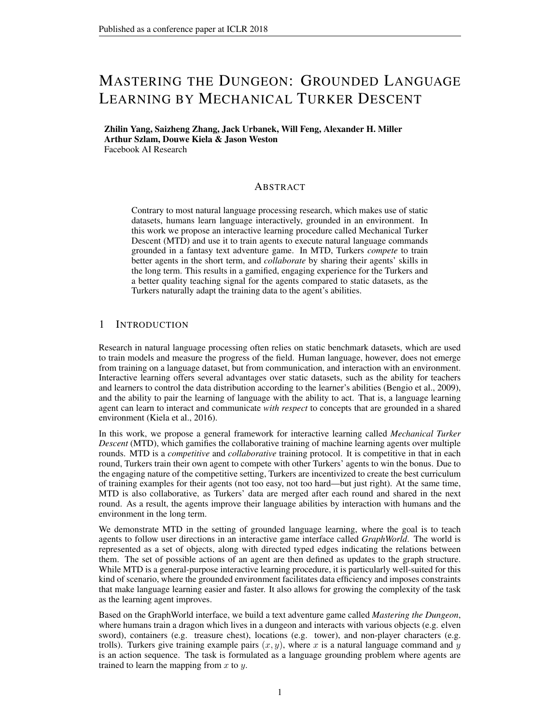# MASTERING THE DUNGEON: GROUNDED LANGUAGE LEARNING BY MECHANICAL TURKER DESCENT

Zhilin Yang, Saizheng Zhang, Jack Urbanek, Will Feng, Alexander H. Miller Arthur Szlam, Douwe Kiela & Jason Weston Facebook AI Research

#### ABSTRACT

Contrary to most natural language processing research, which makes use of static datasets, humans learn language interactively, grounded in an environment. In this work we propose an interactive learning procedure called Mechanical Turker Descent (MTD) and use it to train agents to execute natural language commands grounded in a fantasy text adventure game. In MTD, Turkers *compete* to train better agents in the short term, and *collaborate* by sharing their agents' skills in the long term. This results in a gamified, engaging experience for the Turkers and a better quality teaching signal for the agents compared to static datasets, as the Turkers naturally adapt the training data to the agent's abilities.

#### 1 INTRODUCTION

Research in natural language processing often relies on static benchmark datasets, which are used to train models and measure the progress of the field. Human language, however, does not emerge from training on a language dataset, but from communication, and interaction with an environment. Interactive learning offers several advantages over static datasets, such as the ability for teachers and learners to control the data distribution according to the learner's abilities (Bengio et al., 2009), and the ability to pair the learning of language with the ability to act. That is, a language learning agent can learn to interact and communicate *with respect* to concepts that are grounded in a shared environment (Kiela et al., 2016).

In this work, we propose a general framework for interactive learning called *Mechanical Turker Descent* (MTD), which gamifies the collaborative training of machine learning agents over multiple rounds. MTD is a *competitive* and *collaborative* training protocol. It is competitive in that in each round, Turkers train their own agent to compete with other Turkers' agents to win the bonus. Due to the engaging nature of the competitive setting, Turkers are incentivized to create the best curriculum of training examples for their agents (not too easy, not too hard—but just right). At the same time, MTD is also collaborative, as Turkers' data are merged after each round and shared in the next round. As a result, the agents improve their language abilities by interaction with humans and the environment in the long term.

We demonstrate MTD in the setting of grounded language learning, where the goal is to teach agents to follow user directions in an interactive game interface called *GraphWorld*. The world is represented as a set of objects, along with directed typed edges indicating the relations between them. The set of possible actions of an agent are then defined as updates to the graph structure. While MTD is a general-purpose interactive learning procedure, it is particularly well-suited for this kind of scenario, where the grounded environment facilitates data efficiency and imposes constraints that make language learning easier and faster. It also allows for growing the complexity of the task as the learning agent improves.

Based on the GraphWorld interface, we build a text adventure game called *Mastering the Dungeon*, where humans train a dragon which lives in a dungeon and interacts with various objects (e.g. elven sword), containers (e.g. treasure chest), locations (e.g. tower), and non-player characters (e.g. trolls). Turkers give training example pairs  $(x, y)$ , where x is a natural language command and y is an action sequence. The task is formulated as a language grounding problem where agents are trained to learn the mapping from  $x$  to  $y$ .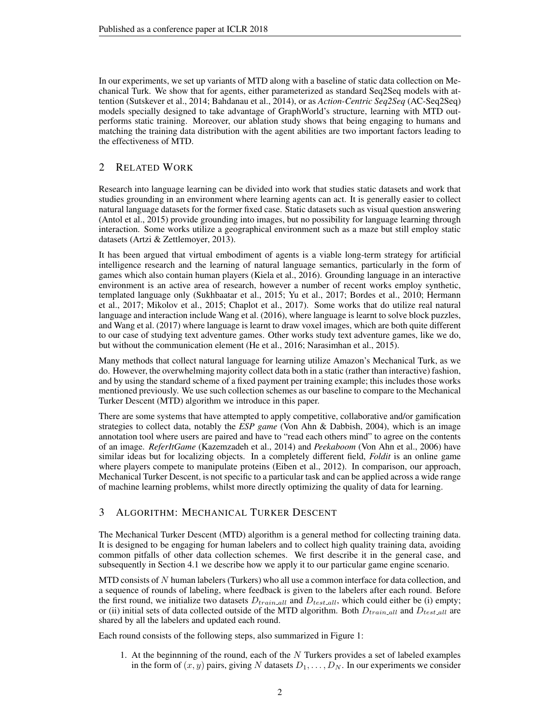In our experiments, we set up variants of MTD along with a baseline of static data collection on Mechanical Turk. We show that for agents, either parameterized as standard Seq2Seq models with attention (Sutskever et al., 2014; Bahdanau et al., 2014), or as *Action-Centric Seq2Seq* (AC-Seq2Seq) models specially designed to take advantage of GraphWorld's structure, learning with MTD outperforms static training. Moreover, our ablation study shows that being engaging to humans and matching the training data distribution with the agent abilities are two important factors leading to the effectiveness of MTD.

### 2 RELATED WORK

Research into language learning can be divided into work that studies static datasets and work that studies grounding in an environment where learning agents can act. It is generally easier to collect natural language datasets for the former fixed case. Static datasets such as visual question answering (Antol et al., 2015) provide grounding into images, but no possibility for language learning through interaction. Some works utilize a geographical environment such as a maze but still employ static datasets (Artzi & Zettlemoyer, 2013).

It has been argued that virtual embodiment of agents is a viable long-term strategy for artificial intelligence research and the learning of natural language semantics, particularly in the form of games which also contain human players (Kiela et al., 2016). Grounding language in an interactive environment is an active area of research, however a number of recent works employ synthetic, templated language only (Sukhbaatar et al., 2015; Yu et al., 2017; Bordes et al., 2010; Hermann et al., 2017; Mikolov et al., 2015; Chaplot et al., 2017). Some works that do utilize real natural language and interaction include Wang et al. (2016), where language is learnt to solve block puzzles, and Wang et al. (2017) where language is learnt to draw voxel images, which are both quite different to our case of studying text adventure games. Other works study text adventure games, like we do, but without the communication element (He et al., 2016; Narasimhan et al., 2015).

Many methods that collect natural language for learning utilize Amazon's Mechanical Turk, as we do. However, the overwhelming majority collect data both in a static (rather than interactive) fashion, and by using the standard scheme of a fixed payment per training example; this includes those works mentioned previously. We use such collection schemes as our baseline to compare to the Mechanical Turker Descent (MTD) algorithm we introduce in this paper.

There are some systems that have attempted to apply competitive, collaborative and/or gamification strategies to collect data, notably the *ESP game* (Von Ahn & Dabbish, 2004), which is an image annotation tool where users are paired and have to "read each others mind" to agree on the contents of an image. *ReferItGame* (Kazemzadeh et al., 2014) and *Peekaboom* (Von Ahn et al., 2006) have similar ideas but for localizing objects. In a completely different field, *Foldit* is an online game where players compete to manipulate proteins (Eiben et al., 2012). In comparison, our approach, Mechanical Turker Descent, is not specific to a particular task and can be applied across a wide range of machine learning problems, whilst more directly optimizing the quality of data for learning.

## 3 ALGORITHM: MECHANICAL TURKER DESCENT

The Mechanical Turker Descent (MTD) algorithm is a general method for collecting training data. It is designed to be engaging for human labelers and to collect high quality training data, avoiding common pitfalls of other data collection schemes. We first describe it in the general case, and subsequently in Section 4.1 we describe how we apply it to our particular game engine scenario.

MTD consists of  $N$  human labelers (Turkers) who all use a common interface for data collection, and a sequence of rounds of labeling, where feedback is given to the labelers after each round. Before the first round, we initialize two datasets  $D_{train\_all}$  and  $D_{test\_all}$ , which could either be (i) empty; or (ii) initial sets of data collected outside of the MTD algorithm. Both  $D_{trainall}$  and  $D_{testall}$  are shared by all the labelers and updated each round.

Each round consists of the following steps, also summarized in Figure 1:

1. At the beginnning of the round, each of the  $N$  Turkers provides a set of labeled examples in the form of  $(x, y)$  pairs, giving N datasets  $D_1, \ldots, D_N$ . In our experiments we consider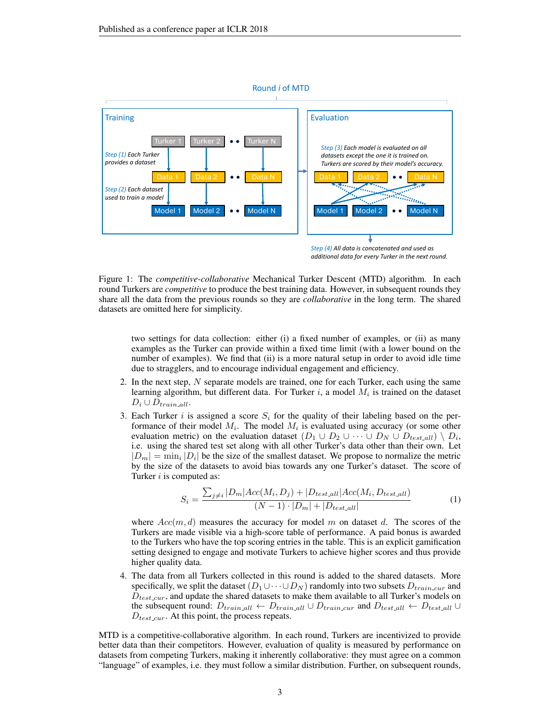

*additional data for every Turker in the next round.*

Figure 1: The *competitive-collaborative* Mechanical Turker Descent (MTD) algorithm. In each round Turkers are *competitive* to produce the best training data. However, in subsequent rounds they share all the data from the previous rounds so they are *collaborative* in the long term. The shared datasets are omitted here for simplicity.

two settings for data collection: either (i) a fixed number of examples, or (ii) as many examples as the Turker can provide within a fixed time limit (with a lower bound on the number of examples). We find that (ii) is a more natural setup in order to avoid idle time due to stragglers, and to encourage individual engagement and efficiency.

- 2. In the next step, N separate models are trained, one for each Turker, each using the same learning algorithm, but different data. For Turker i, a model  $M_i$  is trained on the dataset  $D_i \cup D_{train\_all}.$
- 3. Each Turker i is assigned a score  $S_i$  for the quality of their labeling based on the performance of their model  $M_i$ . The model  $M_i$  is evaluated using accuracy (or some other evaluation metric) on the evaluation dataset  $(D_1 \cup D_2 \cup \cdots \cup D_N \cup D_{test\_all}) \setminus D_i$ , i.e. using the shared test set along with all other Turker's data other than their own. Let  $|D_m| = \min_i |D_i|$  be the size of the smallest dataset. We propose to normalize the metric by the size of the datasets to avoid bias towards any one Turker's dataset. The score of Turker  $i$  is computed as:

$$
S_i = \frac{\sum_{j \neq i} |D_m| Acc(M_i, D_j) + |D_{test\_all}| Acc(M_i, D_{test\_all})}{(N - 1) \cdot |D_m| + |D_{test\_all}|}
$$
(1)

where  $Acc(m, d)$  measures the accuracy for model m on dataset d. The scores of the Turkers are made visible via a high-score table of performance. A paid bonus is awarded to the Turkers who have the top scoring entries in the table. This is an explicit gamification setting designed to engage and motivate Turkers to achieve higher scores and thus provide higher quality data.

4. The data from all Turkers collected in this round is added to the shared datasets. More specifically, we split the dataset  $(D_1 \cup \cdots \cup D_N)$  randomly into two subsets  $D_{train\_cur}$  and  $D_{test.cur}$ , and update the shared datasets to make them available to all Turker's models on the subsequent round:  $D_{train\_all} \leftarrow D_{train\_all} \cup D_{train\_cur}$  and  $D_{test\_all} \leftarrow D_{test\_all} \cup D_{test\_all}$  $D_{test\_cur}$ . At this point, the process repeats.

MTD is a competitive-collaborative algorithm. In each round, Turkers are incentivized to provide better data than their competitors. However, evaluation of quality is measured by performance on datasets from competing Turkers, making it inherently collaborative: they must agree on a common "language" of examples, i.e. they must follow a similar distribution. Further, on subsequent rounds,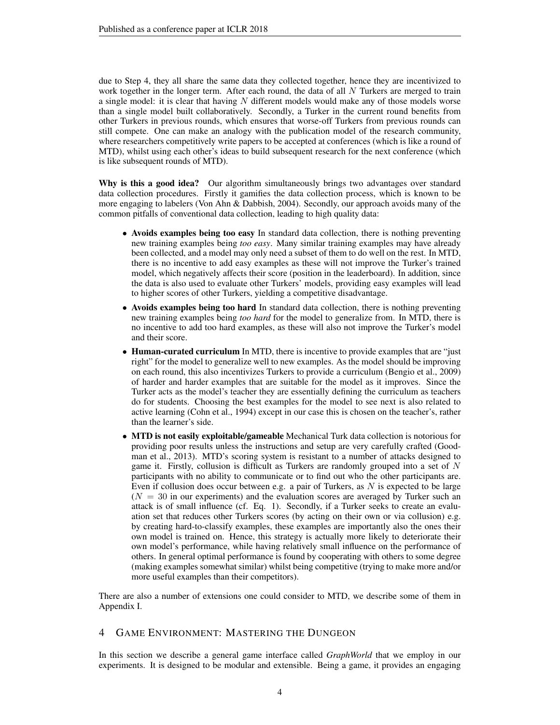due to Step 4, they all share the same data they collected together, hence they are incentivized to work together in the longer term. After each round, the data of all  $N$  Turkers are merged to train a single model: it is clear that having  $N$  different models would make any of those models worse than a single model built collaboratively. Secondly, a Turker in the current round benefits from other Turkers in previous rounds, which ensures that worse-off Turkers from previous rounds can still compete. One can make an analogy with the publication model of the research community, where researchers competitively write papers to be accepted at conferences (which is like a round of MTD), whilst using each other's ideas to build subsequent research for the next conference (which is like subsequent rounds of MTD).

Why is this a good idea? Our algorithm simultaneously brings two advantages over standard data collection procedures. Firstly it gamifies the data collection process, which is known to be more engaging to labelers (Von Ahn & Dabbish, 2004). Secondly, our approach avoids many of the common pitfalls of conventional data collection, leading to high quality data:

- Avoids examples being too easy In standard data collection, there is nothing preventing new training examples being *too easy*. Many similar training examples may have already been collected, and a model may only need a subset of them to do well on the rest. In MTD, there is no incentive to add easy examples as these will not improve the Turker's trained model, which negatively affects their score (position in the leaderboard). In addition, since the data is also used to evaluate other Turkers' models, providing easy examples will lead to higher scores of other Turkers, yielding a competitive disadvantage.
- Avoids examples being too hard In standard data collection, there is nothing preventing new training examples being *too hard* for the model to generalize from. In MTD, there is no incentive to add too hard examples, as these will also not improve the Turker's model and their score.
- Human-curated curriculum In MTD, there is incentive to provide examples that are "just right" for the model to generalize well to new examples. As the model should be improving on each round, this also incentivizes Turkers to provide a curriculum (Bengio et al., 2009) of harder and harder examples that are suitable for the model as it improves. Since the Turker acts as the model's teacher they are essentially defining the curriculum as teachers do for students. Choosing the best examples for the model to see next is also related to active learning (Cohn et al., 1994) except in our case this is chosen on the teacher's, rather than the learner's side.
- MTD is not easily exploitable/gameable Mechanical Turk data collection is notorious for providing poor results unless the instructions and setup are very carefully crafted (Goodman et al., 2013). MTD's scoring system is resistant to a number of attacks designed to game it. Firstly, collusion is difficult as Turkers are randomly grouped into a set of  $N$ participants with no ability to communicate or to find out who the other participants are. Even if collusion does occur between e.g. a pair of Turkers, as  $N$  is expected to be large  $(N = 30)$  in our experiments) and the evaluation scores are averaged by Turker such an attack is of small influence (cf. Eq. 1). Secondly, if a Turker seeks to create an evaluation set that reduces other Turkers scores (by acting on their own or via collusion) e.g. by creating hard-to-classify examples, these examples are importantly also the ones their own model is trained on. Hence, this strategy is actually more likely to deteriorate their own model's performance, while having relatively small influence on the performance of others. In general optimal performance is found by cooperating with others to some degree (making examples somewhat similar) whilst being competitive (trying to make more and/or more useful examples than their competitors).

There are also a number of extensions one could consider to MTD, we describe some of them in Appendix I.

#### 4 GAME ENVIRONMENT: MASTERING THE DUNGEON

In this section we describe a general game interface called *GraphWorld* that we employ in our experiments. It is designed to be modular and extensible. Being a game, it provides an engaging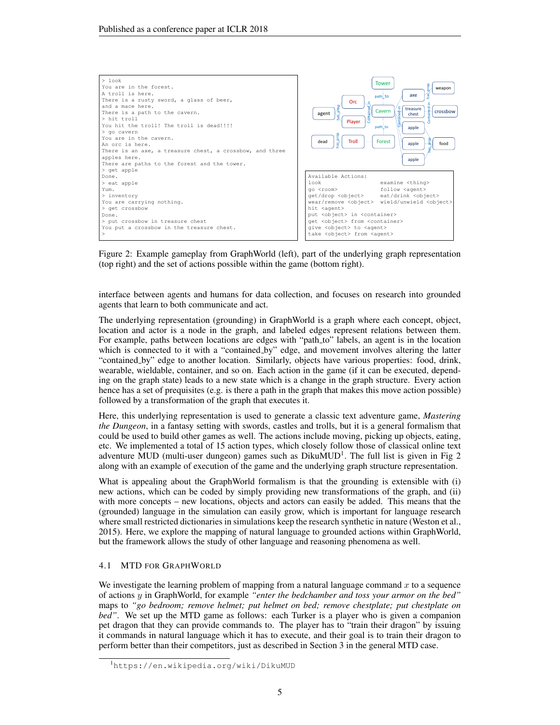

Figure 2: Example gameplay from GraphWorld (left), part of the underlying graph representation (top right) and the set of actions possible within the game (bottom right).

interface between agents and humans for data collection, and focuses on research into grounded agents that learn to both communicate and act.

The underlying representation (grounding) in GraphWorld is a graph where each concept, object, location and actor is a node in the graph, and labeled edges represent relations between them. For example, paths between locations are edges with "path<sub>-to"</sub> labels, an agent is in the location which is connected to it with a "contained by" edge, and movement involves altering the latter "contained by" edge to another location. Similarly, objects have various properties: food, drink, wearable, wieldable, container, and so on. Each action in the game (if it can be executed, depending on the graph state) leads to a new state which is a change in the graph structure. Every action hence has a set of prequisites (e.g. is there a path in the graph that makes this move action possible) followed by a transformation of the graph that executes it.

Here, this underlying representation is used to generate a classic text adventure game, *Mastering the Dungeon*, in a fantasy setting with swords, castles and trolls, but it is a general formalism that could be used to build other games as well. The actions include moving, picking up objects, eating, etc. We implemented a total of 15 action types, which closely follow those of classical online text adventure MUD (multi-user dungeon) games such as  $DikuMUD<sup>1</sup>$ . The full list is given in Fig 2 along with an example of execution of the game and the underlying graph structure representation.

What is appealing about the GraphWorld formalism is that the grounding is extensible with (i) new actions, which can be coded by simply providing new transformations of the graph, and (ii) with more concepts – new locations, objects and actors can easily be added. This means that the (grounded) language in the simulation can easily grow, which is important for language research where small restricted dictionaries in simulations keep the research synthetic in nature (Weston et al., 2015). Here, we explore the mapping of natural language to grounded actions within GraphWorld, but the framework allows the study of other language and reasoning phenomena as well.

#### 4.1 MTD FOR GRAPHWORLD

We investigate the learning problem of mapping from a natural language command  $x$  to a sequence of actions y in GraphWorld, for example *"enter the bedchamber and toss your armor on the bed"* maps to *"go bedroom; remove helmet; put helmet on bed; remove chestplate; put chestplate on bed"*. We set up the MTD game as follows: each Turker is a player who is given a companion pet dragon that they can provide commands to. The player has to "train their dragon" by issuing it commands in natural language which it has to execute, and their goal is to train their dragon to perform better than their competitors, just as described in Section 3 in the general MTD case.

<sup>1</sup>https://en.wikipedia.org/wiki/DikuMUD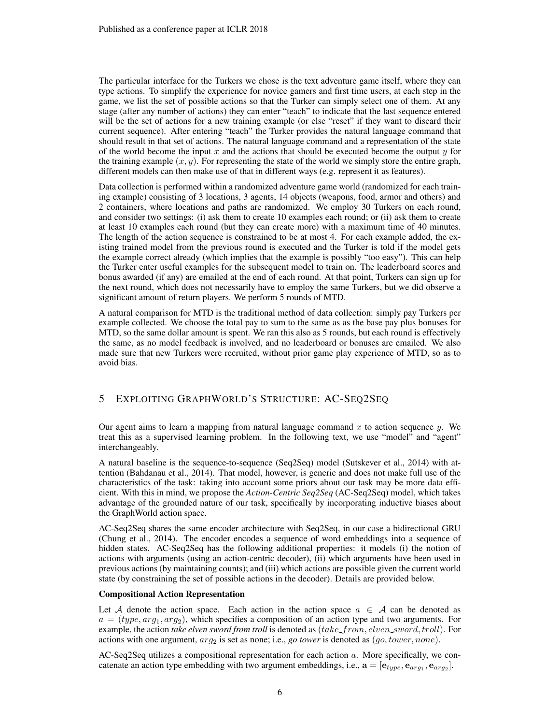The particular interface for the Turkers we chose is the text adventure game itself, where they can type actions. To simplify the experience for novice gamers and first time users, at each step in the game, we list the set of possible actions so that the Turker can simply select one of them. At any stage (after any number of actions) they can enter "teach" to indicate that the last sequence entered will be the set of actions for a new training example (or else "reset" if they want to discard their current sequence). After entering "teach" the Turker provides the natural language command that should result in that set of actions. The natural language command and a representation of the state of the world become the input  $x$  and the actions that should be executed become the output  $y$  for the training example  $(x, y)$ . For representing the state of the world we simply store the entire graph, different models can then make use of that in different ways (e.g. represent it as features).

Data collection is performed within a randomized adventure game world (randomized for each training example) consisting of 3 locations, 3 agents, 14 objects (weapons, food, armor and others) and 2 containers, where locations and paths are randomized. We employ 30 Turkers on each round, and consider two settings: (i) ask them to create 10 examples each round; or (ii) ask them to create at least 10 examples each round (but they can create more) with a maximum time of 40 minutes. The length of the action sequence is constrained to be at most 4. For each example added, the existing trained model from the previous round is executed and the Turker is told if the model gets the example correct already (which implies that the example is possibly "too easy"). This can help the Turker enter useful examples for the subsequent model to train on. The leaderboard scores and bonus awarded (if any) are emailed at the end of each round. At that point, Turkers can sign up for the next round, which does not necessarily have to employ the same Turkers, but we did observe a significant amount of return players. We perform 5 rounds of MTD.

A natural comparison for MTD is the traditional method of data collection: simply pay Turkers per example collected. We choose the total pay to sum to the same as as the base pay plus bonuses for MTD, so the same dollar amount is spent. We ran this also as 5 rounds, but each round is effectively the same, as no model feedback is involved, and no leaderboard or bonuses are emailed. We also made sure that new Turkers were recruited, without prior game play experience of MTD, so as to avoid bias.

#### 5 EXPLOITING GRAPHWORLD'S STRUCTURE: AC-SEQ2SEQ

Our agent aims to learn a mapping from natural language command  $x$  to action sequence  $y$ . We treat this as a supervised learning problem. In the following text, we use "model" and "agent" interchangeably.

A natural baseline is the sequence-to-sequence (Seq2Seq) model (Sutskever et al., 2014) with attention (Bahdanau et al., 2014). That model, however, is generic and does not make full use of the characteristics of the task: taking into account some priors about our task may be more data efficient. With this in mind, we propose the *Action-Centric Seq2Seq* (AC-Seq2Seq) model, which takes advantage of the grounded nature of our task, specifically by incorporating inductive biases about the GraphWorld action space.

AC-Seq2Seq shares the same encoder architecture with Seq2Seq, in our case a bidirectional GRU (Chung et al., 2014). The encoder encodes a sequence of word embeddings into a sequence of hidden states. AC-Seq2Seq has the following additional properties: it models (i) the notion of actions with arguments (using an action-centric decoder), (ii) which arguments have been used in previous actions (by maintaining counts); and (iii) which actions are possible given the current world state (by constraining the set of possible actions in the decoder). Details are provided below.

#### Compositional Action Representation

Let A denote the action space. Each action in the action space  $a \in A$  can be denoted as  $a = (type, arg_1, arg_2)$ , which specifies a composition of an action type and two arguments. For example, the action *take elven sword from troll* is denoted as (take\_from, elven\_sword, troll). For actions with one argument,  $arg_2$  is set as none; i.e., *go tower* is denoted as  $(go, tower, none)$ .

AC-Seq2Seq utilizes a compositional representation for each action a. More specifically, we concatenate an action type embedding with two argument embeddings, i.e.,  $\mathbf{a} = [\mathbf{e}_{type}, \mathbf{e}_{arg_1}, \mathbf{e}_{arg_2}]$ .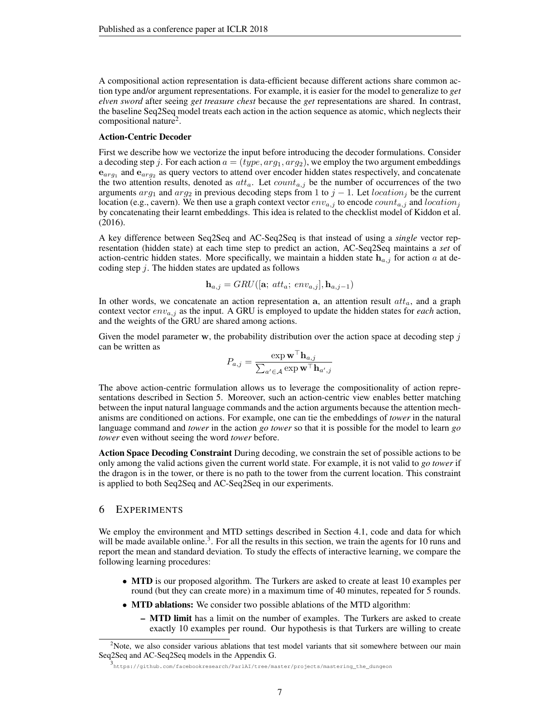A compositional action representation is data-efficient because different actions share common action type and/or argument representations. For example, it is easier for the model to generalize to *get elven sword* after seeing *get treasure chest* because the *get* representations are shared. In contrast, the baseline Seq2Seq model treats each action in the action sequence as atomic, which neglects their compositional nature<sup>2</sup>.

#### Action-Centric Decoder

First we describe how we vectorize the input before introducing the decoder formulations. Consider a decoding step j. For each action  $a = (type, arg_1, arg_2)$ , we employ the two argument embeddings  $e_{arg_1}$  and  $e_{arg_2}$  as query vectors to attend over encoder hidden states respectively, and concatenate the two attention results, denoted as  $atta$ . Let  $count_{a,i}$  be the number of occurrences of the two arguments  $arg_1$  and  $arg_2$  in previous decoding steps from 1 to  $j - 1$ . Let location<sub>j</sub> be the current location (e.g., cavern). We then use a graph context vector  $env_{a,j}$  to encode  $count_{a,j}$  and  $location_j$ by concatenating their learnt embeddings. This idea is related to the checklist model of Kiddon et al. (2016).

A key difference between Seq2Seq and AC-Seq2Seq is that instead of using a *single* vector representation (hidden state) at each time step to predict an action, AC-Seq2Seq maintains a *set* of action-centric hidden states. More specifically, we maintain a hidden state  $h_{a,j}$  for action a at decoding step  $j$ . The hidden states are updated as follows

$$
\mathbf{h}_{a,j} = GRU([\mathbf{a}; \; att_a; \; env_{a,j}], \mathbf{h}_{a,j-1})
$$

In other words, we concatenate an action representation a, an attention result  $at_{a}$ , and a graph context vector  $env_{a,j}$  as the input. A GRU is employed to update the hidden states for *each* action, and the weights of the GRU are shared among actions.

Given the model parameter w, the probability distribution over the action space at decoding step  $j$ can be written as

$$
P_{a,j} = \frac{\exp \mathbf{w}^\top \mathbf{h}_{a,j}}{\sum_{a' \in \mathcal{A}} \exp \mathbf{w}^\top \mathbf{h}_{a',j}}
$$

The above action-centric formulation allows us to leverage the compositionality of action representations described in Section 5. Moreover, such an action-centric view enables better matching between the input natural language commands and the action arguments because the attention mechanisms are conditioned on actions. For example, one can tie the embeddings of *tower* in the natural language command and *tower* in the action *go tower* so that it is possible for the model to learn *go tower* even without seeing the word *tower* before.

Action Space Decoding Constraint During decoding, we constrain the set of possible actions to be only among the valid actions given the current world state. For example, it is not valid to *go tower* if the dragon is in the tower, or there is no path to the tower from the current location. This constraint is applied to both Seq2Seq and AC-Seq2Seq in our experiments.

#### 6 EXPERIMENTS

We employ the environment and MTD settings described in Section 4.1, code and data for which will be made available online.<sup>3</sup>. For all the results in this section, we train the agents for 10 runs and report the mean and standard deviation. To study the effects of interactive learning, we compare the following learning procedures:

- MTD is our proposed algorithm. The Turkers are asked to create at least 10 examples per round (but they can create more) in a maximum time of 40 minutes, repeated for 5 rounds.
- MTD ablations: We consider two possible ablations of the MTD algorithm:
	- MTD limit has a limit on the number of examples. The Turkers are asked to create exactly 10 examples per round. Our hypothesis is that Turkers are willing to create

<sup>&</sup>lt;sup>2</sup>Note, we also consider various ablations that test model variants that sit somewhere between our main Seq2Seq and AC-Seq2Seq models in the Appendix G.

<sup>3</sup> https://github.com/facebookresearch/ParlAI/tree/master/projects/mastering\_the\_dungeon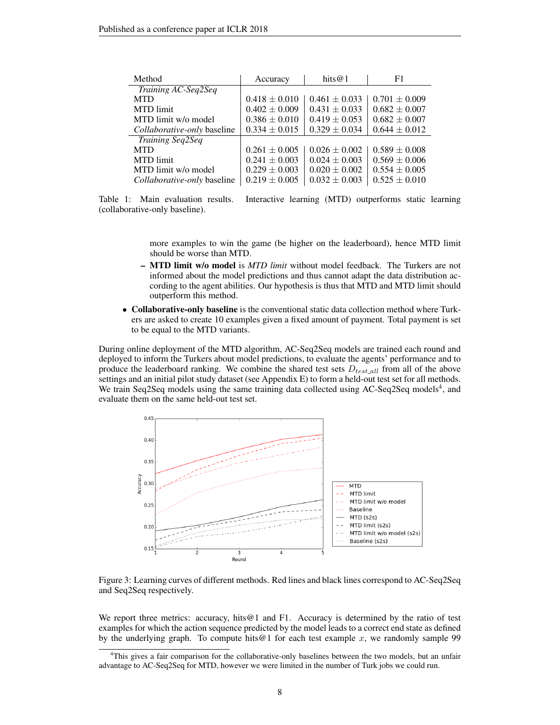| Method                             | Accuracy          | hits $@1$         | F1                |
|------------------------------------|-------------------|-------------------|-------------------|
| Training AC-Seq2Seq                |                   |                   |                   |
| <b>MTD</b>                         | $0.418 \pm 0.010$ | $0.461 \pm 0.033$ | $0.701 \pm 0.009$ |
| <b>MTD</b> limit                   | $0.402 \pm 0.009$ | $0.431 \pm 0.033$ | $0.682 \pm 0.007$ |
| MTD limit w/o model                | $0.386 \pm 0.010$ | $0.419 \pm 0.053$ | $0.682 \pm 0.007$ |
| Collaborative-only baseline        | $0.334 \pm 0.015$ | $0.329 \pm 0.034$ | $0.644 \pm 0.012$ |
| <b>Training Seq2Seq</b>            |                   |                   |                   |
| <b>MTD</b>                         | $0.261 \pm 0.005$ | $0.026 \pm 0.002$ | $0.589 \pm 0.008$ |
| <b>MTD</b> limit                   | $0.241 \pm 0.003$ | $0.024 \pm 0.003$ | $0.569 \pm 0.006$ |
| MTD limit w/o model                | $0.229 \pm 0.003$ | $0.020 \pm 0.002$ | $0.554 \pm 0.005$ |
| <i>Collaborative-only</i> baseline | $0.219 \pm 0.005$ | $0.032 \pm 0.003$ | $0.525 \pm 0.010$ |

Table 1: Main evaluation results. Interactive learning (MTD) outperforms static learning (collaborative-only baseline).

more examples to win the game (be higher on the leaderboard), hence MTD limit should be worse than MTD.

- MTD limit w/o model is *MTD limit* without model feedback. The Turkers are not informed about the model predictions and thus cannot adapt the data distribution according to the agent abilities. Our hypothesis is thus that MTD and MTD limit should outperform this method.
- Collaborative-only baseline is the conventional static data collection method where Turkers are asked to create 10 examples given a fixed amount of payment. Total payment is set to be equal to the MTD variants.

During online deployment of the MTD algorithm, AC-Seq2Seq models are trained each round and deployed to inform the Turkers about model predictions, to evaluate the agents' performance and to produce the leaderboard ranking. We combine the shared test sets  $D_{testall}$  from all of the above settings and an initial pilot study dataset (see Appendix E) to form a held-out test set for all methods. We train Seq2Seq models using the same training data collected using AC-Seq2Seq models<sup>4</sup>, and evaluate them on the same held-out test set.



Figure 3: Learning curves of different methods. Red lines and black lines correspond to AC-Seq2Seq and Seq2Seq respectively.

We report three metrics: accuracy, hits $@1$  and F1. Accuracy is determined by the ratio of test examples for which the action sequence predicted by the model leads to a correct end state as defined by the underlying graph. To compute hits@1 for each test example  $x$ , we randomly sample 99

<sup>4</sup>This gives a fair comparison for the collaborative-only baselines between the two models, but an unfair advantage to AC-Seq2Seq for MTD, however we were limited in the number of Turk jobs we could run.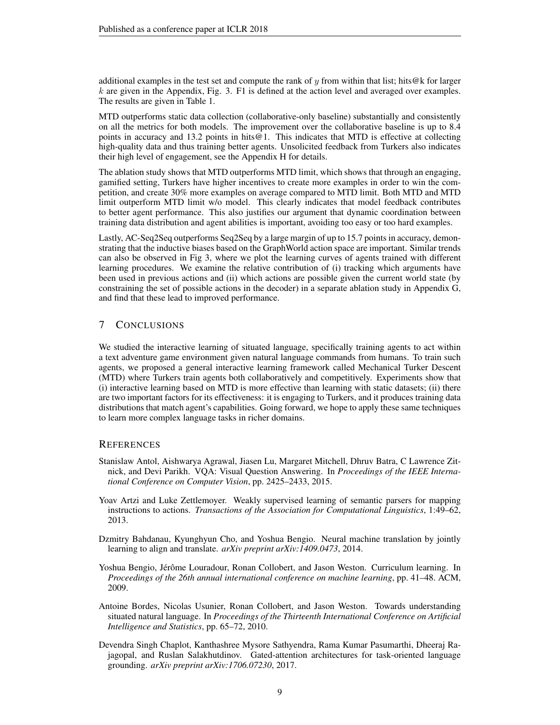additional examples in the test set and compute the rank of y from within that list; hits@k for larger  $k$  are given in the Appendix, Fig. 3. F1 is defined at the action level and averaged over examples. The results are given in Table 1.

MTD outperforms static data collection (collaborative-only baseline) substantially and consistently on all the metrics for both models. The improvement over the collaborative baseline is up to 8.4 points in accuracy and 13.2 points in hits@1. This indicates that MTD is effective at collecting high-quality data and thus training better agents. Unsolicited feedback from Turkers also indicates their high level of engagement, see the Appendix H for details.

The ablation study shows that MTD outperforms MTD limit, which shows that through an engaging, gamified setting, Turkers have higher incentives to create more examples in order to win the competition, and create 30% more examples on average compared to MTD limit. Both MTD and MTD limit outperform MTD limit w/o model. This clearly indicates that model feedback contributes to better agent performance. This also justifies our argument that dynamic coordination between training data distribution and agent abilities is important, avoiding too easy or too hard examples.

Lastly, AC-Seq2Seq outperforms Seq2Seq by a large margin of up to 15.7 points in accuracy, demonstrating that the inductive biases based on the GraphWorld action space are important. Similar trends can also be observed in Fig 3, where we plot the learning curves of agents trained with different learning procedures. We examine the relative contribution of (i) tracking which arguments have been used in previous actions and (ii) which actions are possible given the current world state (by constraining the set of possible actions in the decoder) in a separate ablation study in Appendix G, and find that these lead to improved performance.

### 7 CONCLUSIONS

We studied the interactive learning of situated language, specifically training agents to act within a text adventure game environment given natural language commands from humans. To train such agents, we proposed a general interactive learning framework called Mechanical Turker Descent (MTD) where Turkers train agents both collaboratively and competitively. Experiments show that (i) interactive learning based on MTD is more effective than learning with static datasets; (ii) there are two important factors for its effectiveness: it is engaging to Turkers, and it produces training data distributions that match agent's capabilities. Going forward, we hope to apply these same techniques to learn more complex language tasks in richer domains.

#### **REFERENCES**

- Stanislaw Antol, Aishwarya Agrawal, Jiasen Lu, Margaret Mitchell, Dhruv Batra, C Lawrence Zitnick, and Devi Parikh. VQA: Visual Question Answering. In *Proceedings of the IEEE International Conference on Computer Vision*, pp. 2425–2433, 2015.
- Yoav Artzi and Luke Zettlemoyer. Weakly supervised learning of semantic parsers for mapping instructions to actions. *Transactions of the Association for Computational Linguistics*, 1:49–62, 2013.
- Dzmitry Bahdanau, Kyunghyun Cho, and Yoshua Bengio. Neural machine translation by jointly learning to align and translate. *arXiv preprint arXiv:1409.0473*, 2014.
- Yoshua Bengio, Jérôme Louradour, Ronan Collobert, and Jason Weston. Curriculum learning. In *Proceedings of the 26th annual international conference on machine learning*, pp. 41–48. ACM, 2009.
- Antoine Bordes, Nicolas Usunier, Ronan Collobert, and Jason Weston. Towards understanding situated natural language. In *Proceedings of the Thirteenth International Conference on Artificial Intelligence and Statistics*, pp. 65–72, 2010.
- Devendra Singh Chaplot, Kanthashree Mysore Sathyendra, Rama Kumar Pasumarthi, Dheeraj Rajagopal, and Ruslan Salakhutdinov. Gated-attention architectures for task-oriented language grounding. *arXiv preprint arXiv:1706.07230*, 2017.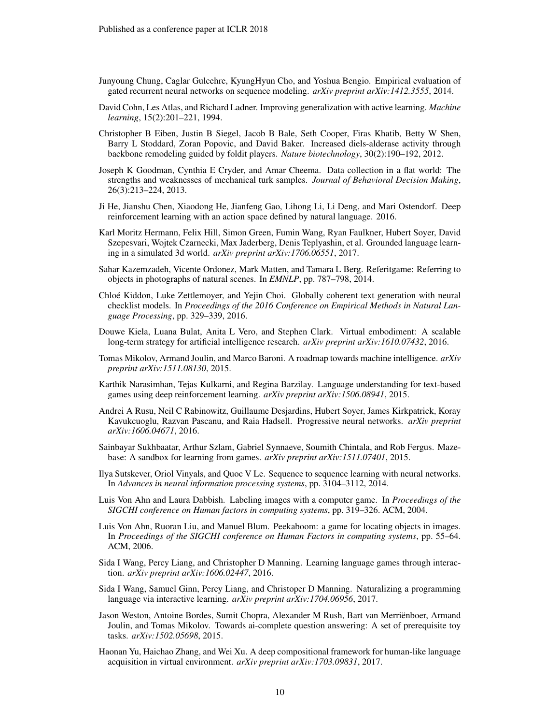- Junyoung Chung, Caglar Gulcehre, KyungHyun Cho, and Yoshua Bengio. Empirical evaluation of gated recurrent neural networks on sequence modeling. *arXiv preprint arXiv:1412.3555*, 2014.
- David Cohn, Les Atlas, and Richard Ladner. Improving generalization with active learning. *Machine learning*, 15(2):201–221, 1994.
- Christopher B Eiben, Justin B Siegel, Jacob B Bale, Seth Cooper, Firas Khatib, Betty W Shen, Barry L Stoddard, Zoran Popovic, and David Baker. Increased diels-alderase activity through backbone remodeling guided by foldit players. *Nature biotechnology*, 30(2):190–192, 2012.
- Joseph K Goodman, Cynthia E Cryder, and Amar Cheema. Data collection in a flat world: The strengths and weaknesses of mechanical turk samples. *Journal of Behavioral Decision Making*, 26(3):213–224, 2013.
- Ji He, Jianshu Chen, Xiaodong He, Jianfeng Gao, Lihong Li, Li Deng, and Mari Ostendorf. Deep reinforcement learning with an action space defined by natural language. 2016.
- Karl Moritz Hermann, Felix Hill, Simon Green, Fumin Wang, Ryan Faulkner, Hubert Soyer, David Szepesvari, Wojtek Czarnecki, Max Jaderberg, Denis Teplyashin, et al. Grounded language learning in a simulated 3d world. *arXiv preprint arXiv:1706.06551*, 2017.
- Sahar Kazemzadeh, Vicente Ordonez, Mark Matten, and Tamara L Berg. Referitgame: Referring to objects in photographs of natural scenes. In *EMNLP*, pp. 787–798, 2014.
- Chloe Kiddon, Luke Zettlemoyer, and Yejin Choi. Globally coherent text generation with neural ´ checklist models. In *Proceedings of the 2016 Conference on Empirical Methods in Natural Language Processing*, pp. 329–339, 2016.
- Douwe Kiela, Luana Bulat, Anita L Vero, and Stephen Clark. Virtual embodiment: A scalable long-term strategy for artificial intelligence research. *arXiv preprint arXiv:1610.07432*, 2016.
- Tomas Mikolov, Armand Joulin, and Marco Baroni. A roadmap towards machine intelligence. *arXiv preprint arXiv:1511.08130*, 2015.
- Karthik Narasimhan, Tejas Kulkarni, and Regina Barzilay. Language understanding for text-based games using deep reinforcement learning. *arXiv preprint arXiv:1506.08941*, 2015.
- Andrei A Rusu, Neil C Rabinowitz, Guillaume Desjardins, Hubert Soyer, James Kirkpatrick, Koray Kavukcuoglu, Razvan Pascanu, and Raia Hadsell. Progressive neural networks. *arXiv preprint arXiv:1606.04671*, 2016.
- Sainbayar Sukhbaatar, Arthur Szlam, Gabriel Synnaeve, Soumith Chintala, and Rob Fergus. Mazebase: A sandbox for learning from games. *arXiv preprint arXiv:1511.07401*, 2015.
- Ilya Sutskever, Oriol Vinyals, and Quoc V Le. Sequence to sequence learning with neural networks. In *Advances in neural information processing systems*, pp. 3104–3112, 2014.
- Luis Von Ahn and Laura Dabbish. Labeling images with a computer game. In *Proceedings of the SIGCHI conference on Human factors in computing systems*, pp. 319–326. ACM, 2004.
- Luis Von Ahn, Ruoran Liu, and Manuel Blum. Peekaboom: a game for locating objects in images. In *Proceedings of the SIGCHI conference on Human Factors in computing systems*, pp. 55–64. ACM, 2006.
- Sida I Wang, Percy Liang, and Christopher D Manning. Learning language games through interaction. *arXiv preprint arXiv:1606.02447*, 2016.
- Sida I Wang, Samuel Ginn, Percy Liang, and Christoper D Manning. Naturalizing a programming language via interactive learning. *arXiv preprint arXiv:1704.06956*, 2017.
- Jason Weston, Antoine Bordes, Sumit Chopra, Alexander M Rush, Bart van Merrienboer, Armand ¨ Joulin, and Tomas Mikolov. Towards ai-complete question answering: A set of prerequisite toy tasks. *arXiv:1502.05698*, 2015.
- Haonan Yu, Haichao Zhang, and Wei Xu. A deep compositional framework for human-like language acquisition in virtual environment. *arXiv preprint arXiv:1703.09831*, 2017.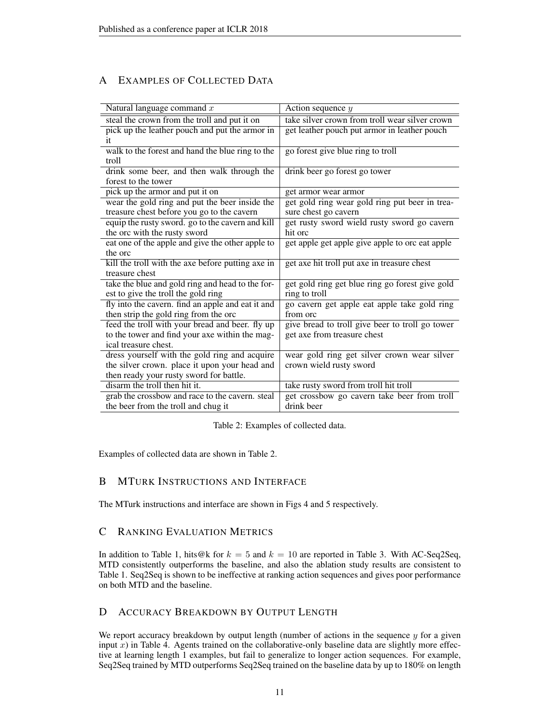# A EXAMPLES OF COLLECTED DATA

| Natural language command $x$                      | Action sequence $y$                             |
|---------------------------------------------------|-------------------------------------------------|
| steal the crown from the troll and put it on      | take silver crown from troll wear silver crown  |
| pick up the leather pouch and put the armor in    | get leather pouch put armor in leather pouch    |
| it                                                |                                                 |
| walk to the forest and hand the blue ring to the  | go forest give blue ring to troll               |
| troll                                             |                                                 |
| drink some beer, and then walk through the        | drink beer go forest go tower                   |
| forest to the tower                               |                                                 |
| pick up the armor and put it on                   | get armor wear armor                            |
| wear the gold ring and put the beer inside the    | get gold ring wear gold ring put beer in trea-  |
| treasure chest before you go to the cavern        | sure chest go cavern                            |
| equip the rusty sword. go to the cavern and kill  | get rusty sword wield rusty sword go cavern     |
| the orc with the rusty sword                      | hit orc                                         |
| eat one of the apple and give the other apple to  | get apple get apple give apple to orc eat apple |
| the orc                                           |                                                 |
| kill the troll with the axe before putting axe in | get axe hit troll put axe in treasure chest     |
| treasure chest                                    |                                                 |
| take the blue and gold ring and head to the for-  | get gold ring get blue ring go forest give gold |
| est to give the troll the gold ring               | ring to troll                                   |
| fly into the cavern. find an apple and eat it and | go cavern get apple eat apple take gold ring    |
| then strip the gold ring from the orc             | from orc                                        |
| feed the troll with your bread and beer. fly up   | give bread to troll give beer to troll go tower |
| to the tower and find your axe within the mag-    | get axe from treasure chest                     |
| ical treasure chest.                              |                                                 |
| dress yourself with the gold ring and acquire     | wear gold ring get silver crown wear silver     |
| the silver crown. place it upon your head and     | crown wield rusty sword                         |
| then ready your rusty sword for battle.           |                                                 |
| disarm the troll then hit it.                     | take rusty sword from troll hit troll           |
| grab the crossbow and race to the cavern. steal   | get crossbow go cavern take beer from troll     |
| the beer from the troll and chug it               | drink beer                                      |

Table 2: Examples of collected data.

Examples of collected data are shown in Table 2.

### B MTURK INSTRUCTIONS AND INTERFACE

The MTurk instructions and interface are shown in Figs 4 and 5 respectively.

### C RANKING EVALUATION METRICS

In addition to Table 1, hits@k for  $k = 5$  and  $k = 10$  are reported in Table 3. With AC-Seq2Seq, MTD consistently outperforms the baseline, and also the ablation study results are consistent to Table 1. Seq2Seq is shown to be ineffective at ranking action sequences and gives poor performance on both MTD and the baseline.

### D ACCURACY BREAKDOWN BY OUTPUT LENGTH

We report accuracy breakdown by output length (number of actions in the sequence  $y$  for a given input  $x$ ) in Table 4. Agents trained on the collaborative-only baseline data are slightly more effective at learning length 1 examples, but fail to generalize to longer action sequences. For example, Seq2Seq trained by MTD outperforms Seq2Seq trained on the baseline data by up to 180% on length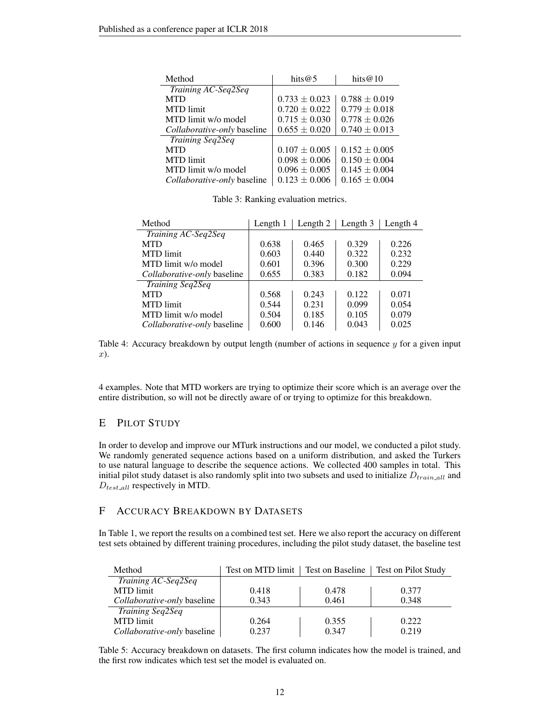| Method                      | hits $@5$         | hits $@10$        |
|-----------------------------|-------------------|-------------------|
| Training AC-Seq2Seq         |                   |                   |
| <b>MTD</b>                  | $0.733 \pm 0.023$ | $0.788 \pm 0.019$ |
| MTD limit                   | $0.720 \pm 0.022$ | $0.779 \pm 0.018$ |
| MTD limit w/o model         | $0.715 \pm 0.030$ | $0.778 \pm 0.026$ |
| Collaborative-only baseline | $0.655 \pm 0.020$ | $0.740 \pm 0.013$ |
| <b>Training Seq2Seq</b>     |                   |                   |
| <b>MTD</b>                  | $0.107 \pm 0.005$ | $0.152 \pm 0.005$ |
| <b>MTD</b> limit            | $0.098 \pm 0.006$ | $0.150 \pm 0.004$ |
| MTD limit w/o model         | $0.096 \pm 0.005$ | $0.145 \pm 0.004$ |
| Collaborative-only baseline | $0.123 \pm 0.006$ | $0.165 \pm 0.004$ |

Table 3: Ranking evaluation metrics.

| Method                      | Length 1 | Length 2 | Length 3 | Length 4 |
|-----------------------------|----------|----------|----------|----------|
| Training AC-Seq2Seq         |          |          |          |          |
| <b>MTD</b>                  | 0.638    | 0.465    | 0.329    | 0.226    |
| <b>MTD</b> limit            | 0.603    | 0.440    | 0.322    | 0.232    |
| MTD limit w/o model         | 0.601    | 0.396    | 0.300    | 0.229    |
| Collaborative-only baseline | 0.655    | 0.383    | 0.182    | 0.094    |
| <b>Training Seq2Seq</b>     |          |          |          |          |
| <b>MTD</b>                  | 0.568    | 0.243    | 0.122    | 0.071    |
| <b>MTD</b> limit            | 0.544    | 0.231    | 0.099    | 0.054    |
| MTD limit w/o model         | 0.504    | 0.185    | 0.105    | 0.079    |
| Collaborative-only baseline | 0.600    | 0.146    | 0.043    | 0.025    |

Table 4: Accuracy breakdown by output length (number of actions in sequence  $y$  for a given input x).

4 examples. Note that MTD workers are trying to optimize their score which is an average over the entire distribution, so will not be directly aware of or trying to optimize for this breakdown.

### E PILOT STUDY

In order to develop and improve our MTurk instructions and our model, we conducted a pilot study. We randomly generated sequence actions based on a uniform distribution, and asked the Turkers to use natural language to describe the sequence actions. We collected 400 samples in total. This initial pilot study dataset is also randomly split into two subsets and used to initialize  $D_{train\_all}$  and  $D_{test\_all}$  respectively in MTD.

### F ACCURACY BREAKDOWN BY DATASETS

In Table 1, we report the results on a combined test set. Here we also report the accuracy on different test sets obtained by different training procedures, including the pilot study dataset, the baseline test

| Method                      | Test on MTD limit | Test on Baseline | Test on Pilot Study |
|-----------------------------|-------------------|------------------|---------------------|
| Training AC-Seq2Seq         |                   |                  |                     |
| MTD limit                   | 0.418             | 0.478            | 0.377               |
| Collaborative-only baseline | 0.343             | 0.461            | 0.348               |
| <i>Training Seq2Seq</i>     |                   |                  |                     |
| MTD limit                   | 0.264             | 0.355            | 0.222               |
| Collaborative-only baseline | 0.237             | 0.347            | 0.219               |

Table 5: Accuracy breakdown on datasets. The first column indicates how the model is trained, and the first row indicates which test set the model is evaluated on.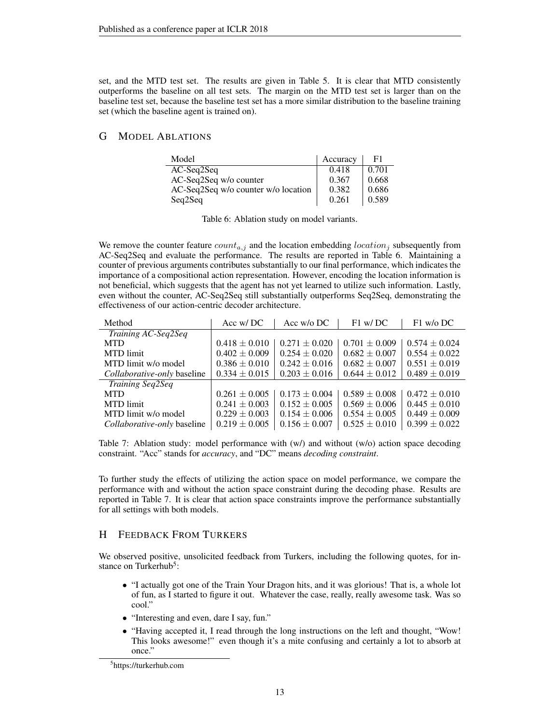set, and the MTD test set. The results are given in Table 5. It is clear that MTD consistently outperforms the baseline on all test sets. The margin on the MTD test set is larger than on the baseline test set, because the baseline test set has a more similar distribution to the baseline training set (which the baseline agent is trained on).

### G MODEL ABLATIONS

| Model                               | Accuracy | F1    |
|-------------------------------------|----------|-------|
| AC-Seq2Seq                          | 0.418    | 0.701 |
| AC-Seq2Seq w/o counter              | 0.367    | 0.668 |
| AC-Seq2Seq w/o counter w/o location | 0.382    | 0.686 |
| Seq2Seq                             | 0.261    | 0.589 |

|  | Table 6: Ablation study on model variants. |  |  |  |  |
|--|--------------------------------------------|--|--|--|--|
|--|--------------------------------------------|--|--|--|--|

We remove the counter feature  $count_{a,j}$  and the location embedding  $location_j$  subsequently from AC-Seq2Seq and evaluate the performance. The results are reported in Table 6. Maintaining a counter of previous arguments contributes substantially to our final performance, which indicates the importance of a compositional action representation. However, encoding the location information is not beneficial, which suggests that the agent has not yet learned to utilize such information. Lastly, even without the counter, AC-Seq2Seq still substantially outperforms Seq2Seq, demonstrating the effectiveness of our action-centric decoder architecture.

| Method                      | Acc w/DC          | Acc $w/o$ DC      | $F1$ w/DC         | $F1$ w/o DC       |
|-----------------------------|-------------------|-------------------|-------------------|-------------------|
| Training AC-Seq2Seq         |                   |                   |                   |                   |
| <b>MTD</b>                  | $0.418 \pm 0.010$ | $0.271 \pm 0.020$ | $0.701 \pm 0.009$ | $0.574 \pm 0.024$ |
| <b>MTD</b> limit            | $0.402 \pm 0.009$ | $0.254 \pm 0.020$ | $0.682 \pm 0.007$ | $0.554 \pm 0.022$ |
| MTD limit w/o model         | $0.386 \pm 0.010$ | $0.242 \pm 0.016$ | $0.682 \pm 0.007$ | $0.551 \pm 0.019$ |
| Collaborative-only baseline | $0.334 \pm 0.015$ | $0.203 \pm 0.016$ | $0.644 \pm 0.012$ | $0.489 \pm 0.019$ |
| <b>Training Seq2Seq</b>     |                   |                   |                   |                   |
| <b>MTD</b>                  | $0.261 \pm 0.005$ | $0.173 \pm 0.004$ | $0.589 \pm 0.008$ | $0.472 \pm 0.010$ |
| <b>MTD</b> limit            | $0.241 \pm 0.003$ | $0.152 \pm 0.005$ | $0.569 \pm 0.006$ | $0.445 \pm 0.010$ |
| MTD limit w/o model         | $0.229 \pm 0.003$ | $0.154 \pm 0.006$ | $0.554 \pm 0.005$ | $0.449 \pm 0.009$ |
| Collaborative-only baseline | $0.219 \pm 0.005$ | $0.156 \pm 0.007$ | $0.525 \pm 0.010$ | $0.399 \pm 0.022$ |

Table 7: Ablation study: model performance with  $(w)$  and without  $(w/o)$  action space decoding constraint. "Acc" stands for *accuracy*, and "DC" means *decoding constraint*.

To further study the effects of utilizing the action space on model performance, we compare the performance with and without the action space constraint during the decoding phase. Results are reported in Table 7. It is clear that action space constraints improve the performance substantially for all settings with both models.

### H FEEDBACK FROM TURKERS

We observed positive, unsolicited feedback from Turkers, including the following quotes, for instance on Turkerhub<sup>5</sup>:

- "I actually got one of the Train Your Dragon hits, and it was glorious! That is, a whole lot of fun, as I started to figure it out. Whatever the case, really, really awesome task. Was so cool."
- "Interesting and even, dare I say, fun."
- "Having accepted it, I read through the long instructions on the left and thought, "Wow!" This looks awesome!" even though it's a mite confusing and certainly a lot to absorb at once."

<sup>5</sup> https://turkerhub.com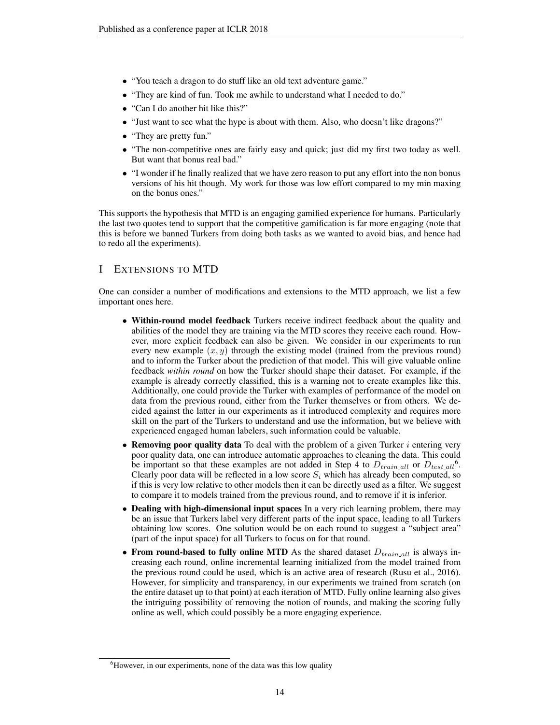- "You teach a dragon to do stuff like an old text adventure game."
- "They are kind of fun. Took me awhile to understand what I needed to do."
- "Can I do another hit like this?"
- "Just want to see what the hype is about with them. Also, who doesn't like dragons?"
- "They are pretty fun."
- "The non-competitive ones are fairly easy and quick; just did my first two today as well. But want that bonus real bad."
- "I wonder if he finally realized that we have zero reason to put any effort into the non bonus versions of his hit though. My work for those was low effort compared to my min maxing on the bonus ones."

This supports the hypothesis that MTD is an engaging gamified experience for humans. Particularly the last two quotes tend to support that the competitive gamification is far more engaging (note that this is before we banned Turkers from doing both tasks as we wanted to avoid bias, and hence had to redo all the experiments).

### I EXTENSIONS TO MTD

One can consider a number of modifications and extensions to the MTD approach, we list a few important ones here.

- Within-round model feedback Turkers receive indirect feedback about the quality and abilities of the model they are training via the MTD scores they receive each round. However, more explicit feedback can also be given. We consider in our experiments to run every new example  $(x, y)$  through the existing model (trained from the previous round) and to inform the Turker about the prediction of that model. This will give valuable online feedback *within round* on how the Turker should shape their dataset. For example, if the example is already correctly classified, this is a warning not to create examples like this. Additionally, one could provide the Turker with examples of performance of the model on data from the previous round, either from the Turker themselves or from others. We decided against the latter in our experiments as it introduced complexity and requires more skill on the part of the Turkers to understand and use the information, but we believe with experienced engaged human labelers, such information could be valuable.
- Removing poor quality data To deal with the problem of a given Turker  $i$  entering very poor quality data, one can introduce automatic approaches to cleaning the data. This could be important so that these examples are not added in Step 4 to  $D_{trainall}$  or  $D_{testall}$ <sup>6</sup>. Clearly poor data will be reflected in a low score  $S_i$  which has already been computed, so if this is very low relative to other models then it can be directly used as a filter. We suggest to compare it to models trained from the previous round, and to remove if it is inferior.
- Dealing with high-dimensional input spaces In a very rich learning problem, there may be an issue that Turkers label very different parts of the input space, leading to all Turkers obtaining low scores. One solution would be on each round to suggest a "subject area" (part of the input space) for all Turkers to focus on for that round.
- From round-based to fully online MTD As the shared dataset  $D_{train\_all}$  is always increasing each round, online incremental learning initialized from the model trained from the previous round could be used, which is an active area of research (Rusu et al., 2016). However, for simplicity and transparency, in our experiments we trained from scratch (on the entire dataset up to that point) at each iteration of MTD. Fully online learning also gives the intriguing possibility of removing the notion of rounds, and making the scoring fully online as well, which could possibly be a more engaging experience.

<sup>&</sup>lt;sup>6</sup>However, in our experiments, none of the data was this low quality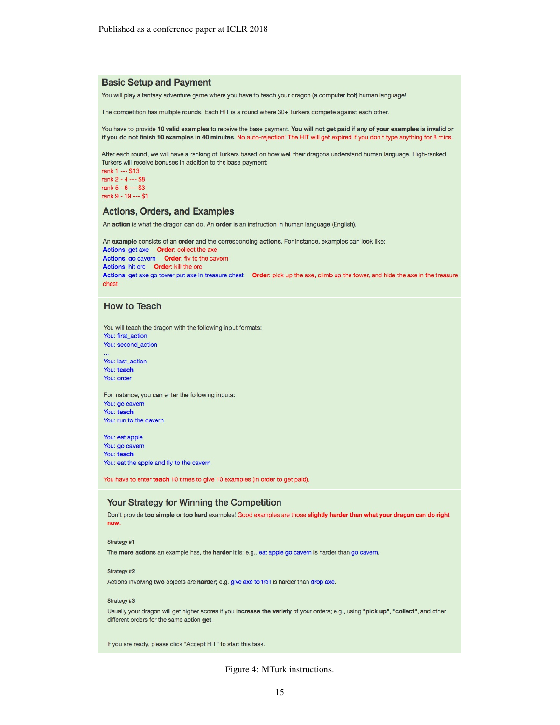#### **Basic Setup and Payment**

You will play a fantasy adventure game where you have to teach your dragon (a computer bot) human language!

The competition has multiple rounds. Each HIT is a round where 30+ Turkers compete against each other.

You have to provide 10 valid examples to receive the base payment. You will not get paid if any of your examples is invalid or if you do not finish 10 examples in 40 minutes. No auto-rejection! The HIT will get expired if you don't type anything for 8 mins.

After each round, we will have a ranking of Turkers based on how well their dragons understand human language. High-ranked Turkers will receive bonuses in addition to the base payment:

rank 1 --- \$13 rank 2 - 4 --- \$8 rank  $5 - 8 - 33$ rank 9 - 19 --- \$1

#### **Actions, Orders, and Examples**

An action is what the dragon can do. An order is an instruction in human language (English).

An example consists of an order and the corresponding actions. For instance, examples can look like: Actions: get axe Order: collect the axe Actions: go cavern Order: fly to the cavern Actions: hit orc Order: kill the orc Actions: get axe go tower put axe in treasure chest Order: pick up the axe, climb up the tower, and hide the axe in the treasure chest

#### **How to Teach**

You will teach the dragon with the following input formats: You: first\_action You: second\_action

You: last action You: teach You: order

For instance, you can enter the following inputs: You: go cavern You: teach You: run to the cavern

You: eat apple You: go cavern You: teach You: eat the apple and fly to the cavern

You have to enter teach 10 times to give 10 examples (in order to get paid).

#### Your Strategy for Winning the Competition

Don't provide too simple or too hard examples! Good examples are those slightly harder than what your dragon can do right now.

#### Strategy #1

The more actions an example has, the harder it is; e.g., eat apple go cavern is harder than go cavern.

#### Strategy #2

Actions involving two objects are harder; e.g. give axe to troll is harder than drop axe.

#### Strategy #3

Usually your dragon will get higher scores if you increase the variety of your orders; e.g., using "pick up", "collect", and other different orders for the same action get.

If you are ready, please click "Accept HIT" to start this task.

Figure 4: MTurk instructions.